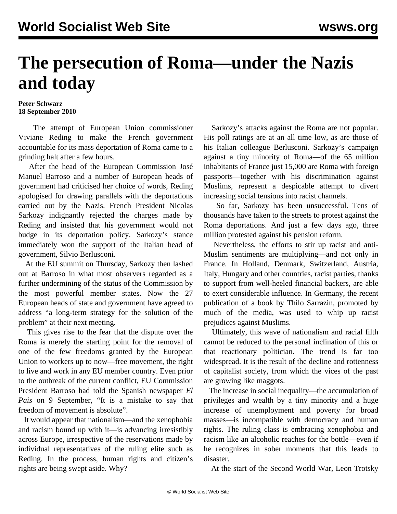## **The persecution of Roma—under the Nazis and today**

## **Peter Schwarz 18 September 2010**

 The attempt of European Union commissioner Viviane Reding to make the French government accountable for its mass deportation of Roma came to a grinding halt after a few hours.

 After the head of the European Commission José Manuel Barroso and a number of European heads of government had criticised her choice of words, Reding apologised for drawing parallels with the deportations carried out by the Nazis. French President Nicolas Sarkozy indignantly rejected the charges made by Reding and insisted that his government would not budge in its deportation policy. Sarkozy's stance immediately won the support of the Italian head of government, Silvio Berlusconi.

 At the EU summit on Thursday, Sarkozy then lashed out at Barroso in what most observers regarded as a further undermining of the status of the Commission by the most powerful member states. Now the 27 European heads of state and government have agreed to address "a long-term strategy for the solution of the problem" at their next meeting.

 This gives rise to the fear that the dispute over the Roma is merely the starting point for the removal of one of the few freedoms granted by the European Union to workers up to now—free movement, the right to live and work in any EU member country. Even prior to the outbreak of the current conflict, EU Commission President Barroso had told the Spanish newspaper *El Pais* on 9 September, "It is a mistake to say that freedom of movement is absolute".

 It would appear that nationalism—and the xenophobia and racism bound up with it—is advancing irresistibly across Europe, irrespective of the reservations made by individual representatives of the ruling elite such as Reding. In the process, human rights and citizen's rights are being swept aside. Why?

 Sarkozy's attacks against the Roma are not popular. His poll ratings are at an all time low, as are those of his Italian colleague Berlusconi. Sarkozy's campaign against a tiny minority of Roma—of the 65 million inhabitants of France just 15,000 are Roma with foreign passports—together with his discrimination against Muslims, represent a despicable attempt to divert increasing social tensions into racist channels.

 So far, Sarkozy has been unsuccessful. Tens of thousands have taken to the streets to protest against the Roma deportations. And just a few days ago, three million protested against his pension reform.

 Nevertheless, the efforts to stir up racist and anti-Muslim sentiments are multiplying—and not only in France. In Holland, Denmark, Switzerland, Austria, Italy, Hungary and other countries, racist parties, thanks to support from well-heeled financial backers, are able to exert considerable influence. In Germany, the recent publication of a book by Thilo Sarrazin, promoted by much of the media, was used to whip up racist prejudices against Muslims.

 Ultimately, this wave of nationalism and racial filth cannot be reduced to the personal inclination of this or that reactionary politician. The trend is far too widespread. It is the result of the decline and rottenness of capitalist society, from which the vices of the past are growing like maggots.

 The increase in social inequality—the accumulation of privileges and wealth by a tiny minority and a huge increase of unemployment and poverty for broad masses—is incompatible with democracy and human rights. The ruling class is embracing xenophobia and racism like an alcoholic reaches for the bottle—even if he recognizes in sober moments that this leads to disaster.

At the start of the Second World War, Leon Trotsky